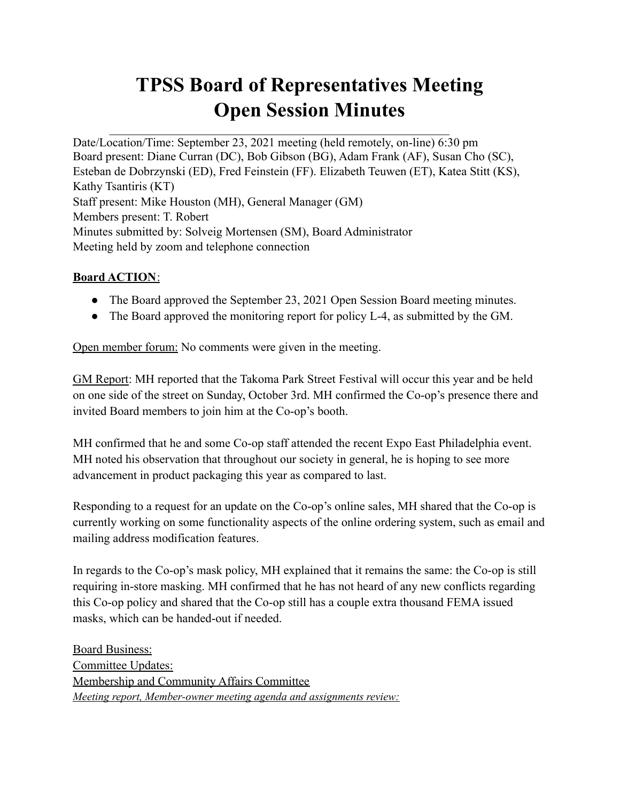# **TPSS Board of Representatives Meeting Open Session Minutes**

Date/Location/Time: September 23, 2021 meeting (held remotely, on-line) 6:30 pm Board present: Diane Curran (DC), Bob Gibson (BG), Adam Frank (AF), Susan Cho (SC), Esteban de Dobrzynski (ED), Fred Feinstein (FF). Elizabeth Teuwen (ET), Katea Stitt (KS), Kathy Tsantiris (KT) Staff present: Mike Houston (MH), General Manager (GM) Members present: T. Robert Minutes submitted by: Solveig Mortensen (SM), Board Administrator Meeting held by zoom and telephone connection

 $\mathcal{L}_\text{max}$  , and the contribution of the contribution of the contribution of the contribution of the contribution of the contribution of the contribution of the contribution of the contribution of the contribution of t

### **Board ACTION**:

- The Board approved the September 23, 2021 Open Session Board meeting minutes.
- The Board approved the monitoring report for policy L-4, as submitted by the GM.

Open member forum: No comments were given in the meeting.

GM Report: MH reported that the Takoma Park Street Festival will occur this year and be held on one side of the street on Sunday, October 3rd. MH confirmed the Co-op's presence there and invited Board members to join him at the Co-op's booth.

MH confirmed that he and some Co-op staff attended the recent Expo East Philadelphia event. MH noted his observation that throughout our society in general, he is hoping to see more advancement in product packaging this year as compared to last.

Responding to a request for an update on the Co-op's online sales, MH shared that the Co-op is currently working on some functionality aspects of the online ordering system, such as email and mailing address modification features.

In regards to the Co-op's mask policy, MH explained that it remains the same: the Co-op is still requiring in-store masking. MH confirmed that he has not heard of any new conflicts regarding this Co-op policy and shared that the Co-op still has a couple extra thousand FEMA issued masks, which can be handed-out if needed.

Board Business: Committee Updates: Membership and Community Affairs Committee *Meeting report, Member-owner meeting agenda and assignments review:*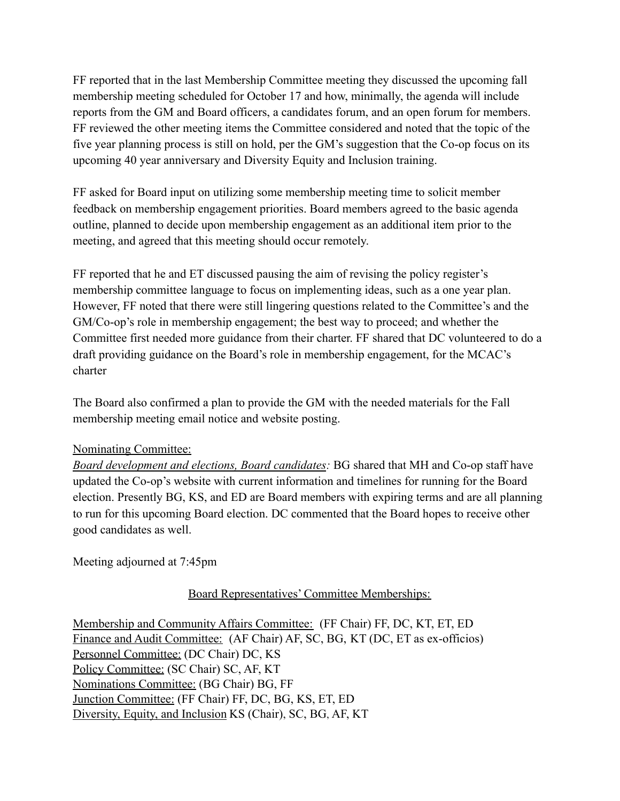FF reported that in the last Membership Committee meeting they discussed the upcoming fall membership meeting scheduled for October 17 and how, minimally, the agenda will include reports from the GM and Board officers, a candidates forum, and an open forum for members. FF reviewed the other meeting items the Committee considered and noted that the topic of the five year planning process is still on hold, per the GM's suggestion that the Co-op focus on its upcoming 40 year anniversary and Diversity Equity and Inclusion training.

FF asked for Board input on utilizing some membership meeting time to solicit member feedback on membership engagement priorities. Board members agreed to the basic agenda outline, planned to decide upon membership engagement as an additional item prior to the meeting, and agreed that this meeting should occur remotely.

FF reported that he and ET discussed pausing the aim of revising the policy register's membership committee language to focus on implementing ideas, such as a one year plan. However, FF noted that there were still lingering questions related to the Committee's and the GM/Co-op's role in membership engagement; the best way to proceed; and whether the Committee first needed more guidance from their charter. FF shared that DC volunteered to do a draft providing guidance on the Board's role in membership engagement, for the MCAC's charter

The Board also confirmed a plan to provide the GM with the needed materials for the Fall membership meeting email notice and website posting.

#### Nominating Committee:

*Board development and elections, Board candidates:* BG shared that MH and Co-op staff have updated the Co-op's website with current information and timelines for running for the Board election. Presently BG, KS, and ED are Board members with expiring terms and are all planning to run for this upcoming Board election. DC commented that the Board hopes to receive other good candidates as well.

Meeting adjourned at 7:45pm

#### Board Representatives' Committee Memberships:

Membership and Community Affairs Committee: (FF Chair) FF, DC, KT, ET, ED Finance and Audit Committee: (AF Chair) AF, SC, BG, KT (DC, ET as ex-officios) Personnel Committee: (DC Chair) DC, KS Policy Committee: (SC Chair) SC, AF, KT Nominations Committee: (BG Chair) BG, FF Junction Committee: (FF Chair) FF, DC, BG, KS, ET, ED Diversity, Equity, and Inclusion KS (Chair), SC, BG, AF, KT